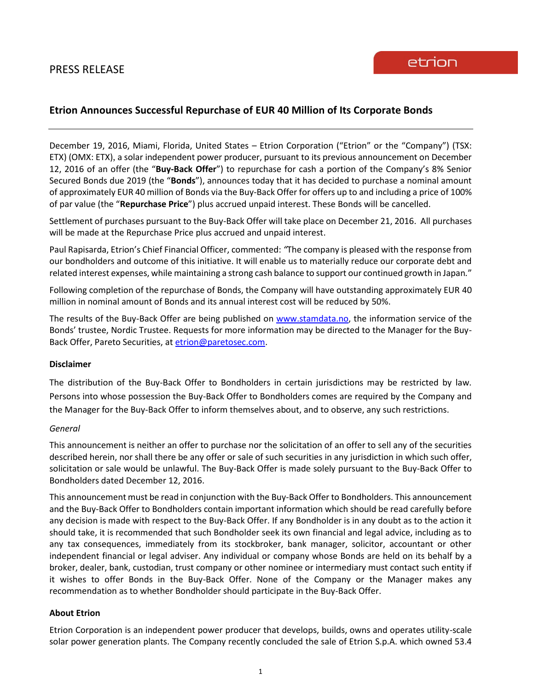# **Etrion Announces Successful Repurchase of EUR 40 Million of Its Corporate Bonds**

December 19, 2016, Miami, Florida, United States – Etrion Corporation ("Etrion" or the "Company") (TSX: ETX) (OMX: ETX), a solar independent power producer, pursuant to its previous announcement on December 12, 2016 of an offer (the "**Buy-Back Offer**") to repurchase for cash a portion of the Company's 8% Senior Secured Bonds due 2019 (the "**Bonds**"), announces today that it has decided to purchase a nominal amount of approximately EUR 40 million of Bonds via the Buy-Back Offer for offers up to and including a price of 100% of par value (the "**Repurchase Price**") plus accrued unpaid interest. These Bonds will be cancelled.

Settlement of purchases pursuant to the Buy-Back Offer will take place on December 21, 2016. All purchases will be made at the Repurchase Price plus accrued and unpaid interest.

Paul Rapisarda, Etrion's Chief Financial Officer, commented: *"*The company is pleased with the response from our bondholders and outcome of this initiative. It will enable us to materially reduce our corporate debt and related interest expenses, while maintaining a strong cash balance to support our continued growth in Japan*.*"

Following completion of the repurchase of Bonds, the Company will have outstanding approximately EUR 40 million in nominal amount of Bonds and its annual interest cost will be reduced by 50%.

The results of the Buy-Back Offer are being published on [www.stamdata.no,](http://www.stamdata.no/) the information service of the Bonds' trustee, Nordic Trustee. Requests for more information may be directed to the Manager for the Buy-Back Offer, Pareto Securities, at [etrion@paretosec.com.](mailto:seatrucks@paretosec.com)

#### **Disclaimer**

The distribution of the Buy-Back Offer to Bondholders in certain jurisdictions may be restricted by law. Persons into whose possession the Buy-Back Offer to Bondholders comes are required by the Company and the Manager for the Buy-Back Offer to inform themselves about, and to observe, any such restrictions.

#### *General*

This announcement is neither an offer to purchase nor the solicitation of an offer to sell any of the securities described herein, nor shall there be any offer or sale of such securities in any jurisdiction in which such offer, solicitation or sale would be unlawful. The Buy-Back Offer is made solely pursuant to the Buy-Back Offer to Bondholders dated December 12, 2016.

This announcement must be read in conjunction with the Buy-Back Offer to Bondholders. This announcement and the Buy-Back Offer to Bondholders contain important information which should be read carefully before any decision is made with respect to the Buy-Back Offer. If any Bondholder is in any doubt as to the action it should take, it is recommended that such Bondholder seek its own financial and legal advice, including as to any tax consequences, immediately from its stockbroker, bank manager, solicitor, accountant or other independent financial or legal adviser. Any individual or company whose Bonds are held on its behalf by a broker, dealer, bank, custodian, trust company or other nominee or intermediary must contact such entity if it wishes to offer Bonds in the Buy-Back Offer. None of the Company or the Manager makes any recommendation as to whether Bondholder should participate in the Buy-Back Offer.

## **About Etrion**

Etrion Corporation is an independent power producer that develops, builds, owns and operates utility-scale solar power generation plants. The Company recently concluded the sale of Etrion S.p.A. which owned 53.4